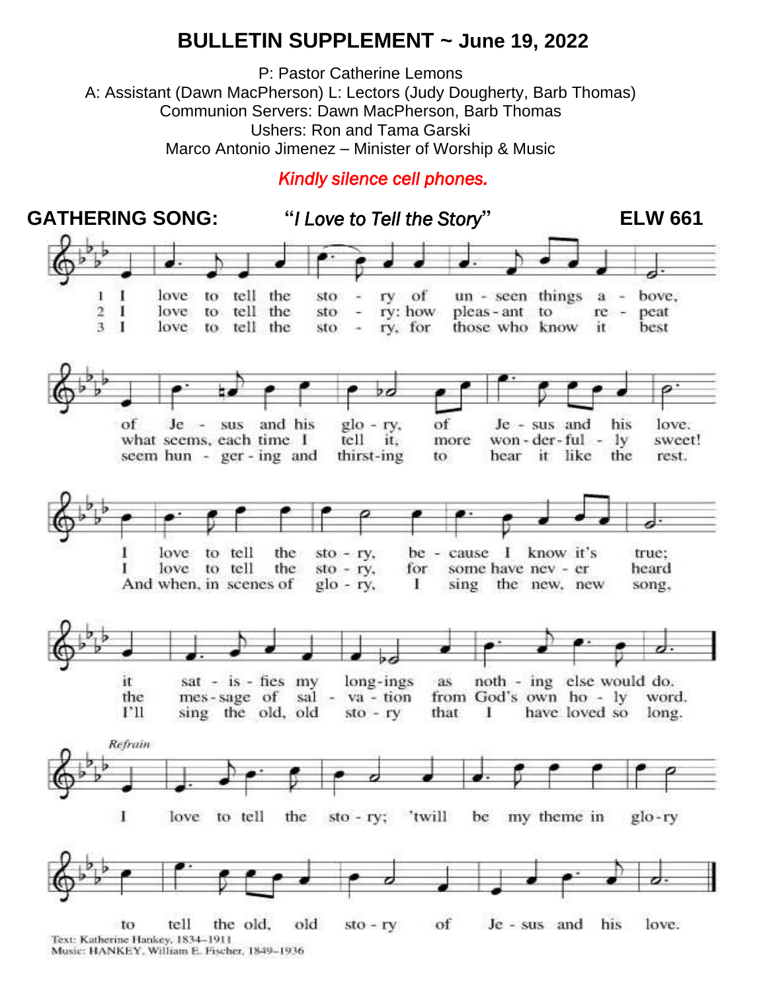#### **BULLETIN SUPPLEMENT ~ June 19, 2022**

P: Pastor Catherine Lemons A: Assistant (Dawn MacPherson) L: Lectors (Judy Dougherty, Barb Thomas) Communion Servers: Dawn MacPherson, Barb Thomas Ushers: Ron and Tama Garski Marco Antonio Jimenez – Minister of Worship & Music

#### *Kindly silence cell phones.*

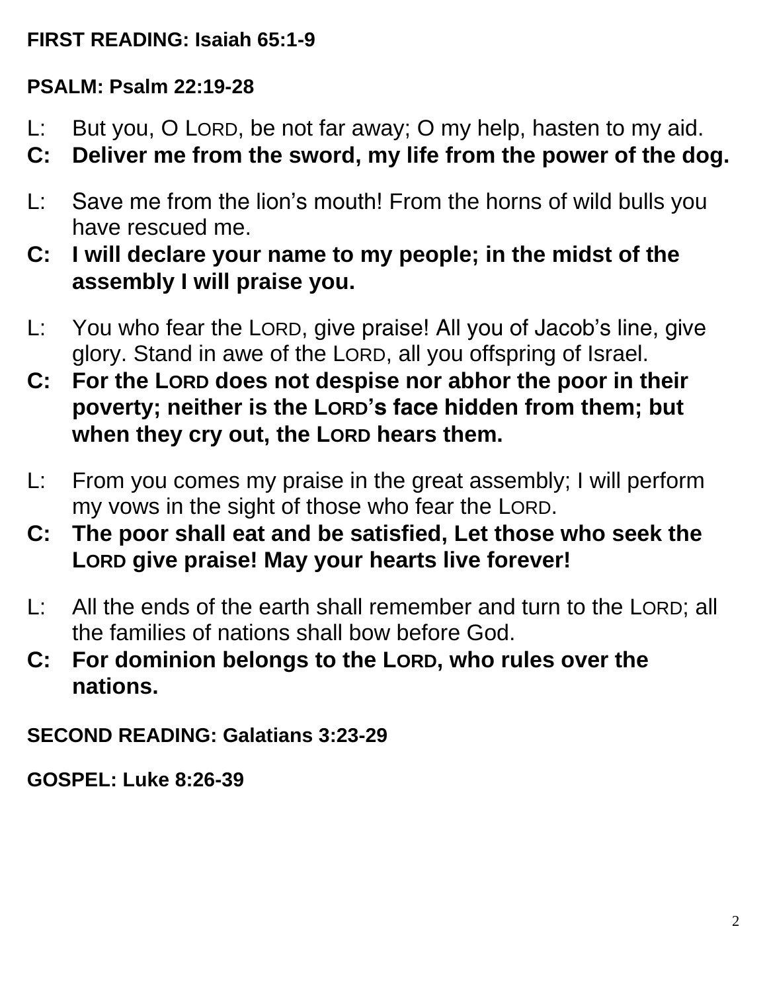### **FIRST READING: Isaiah 65:1-9**

## **PSALM: Psalm 22:19-28**

- L: But you, O LORD, be not far away; O my help, hasten to my aid.
- **C: Deliver me from the sword, my life from the power of the dog.**
- L: Save me from the lion's mouth! From the horns of wild bulls you have rescued me.
- **C: I will declare your name to my people; in the midst of the assembly I will praise you.**
- L: You who fear the LORD, give praise! All you of Jacob's line, give glory. Stand in awe of the LORD, all you offspring of Israel.
- **C: For the LORD does not despise nor abhor the poor in their poverty; neither is the LORD's face hidden from them; but when they cry out, the LORD hears them.**
- L: From you comes my praise in the great assembly; I will perform my vows in the sight of those who fear the LORD.
- **C: The poor shall eat and be satisfied, Let those who seek the LORD give praise! May your hearts live forever!**
- L: All the ends of the earth shall remember and turn to the LORD; all the families of nations shall bow before God.
- **C: For dominion belongs to the LORD, who rules over the nations.**

**SECOND READING: Galatians 3:23-29**

**GOSPEL: Luke 8:26-39**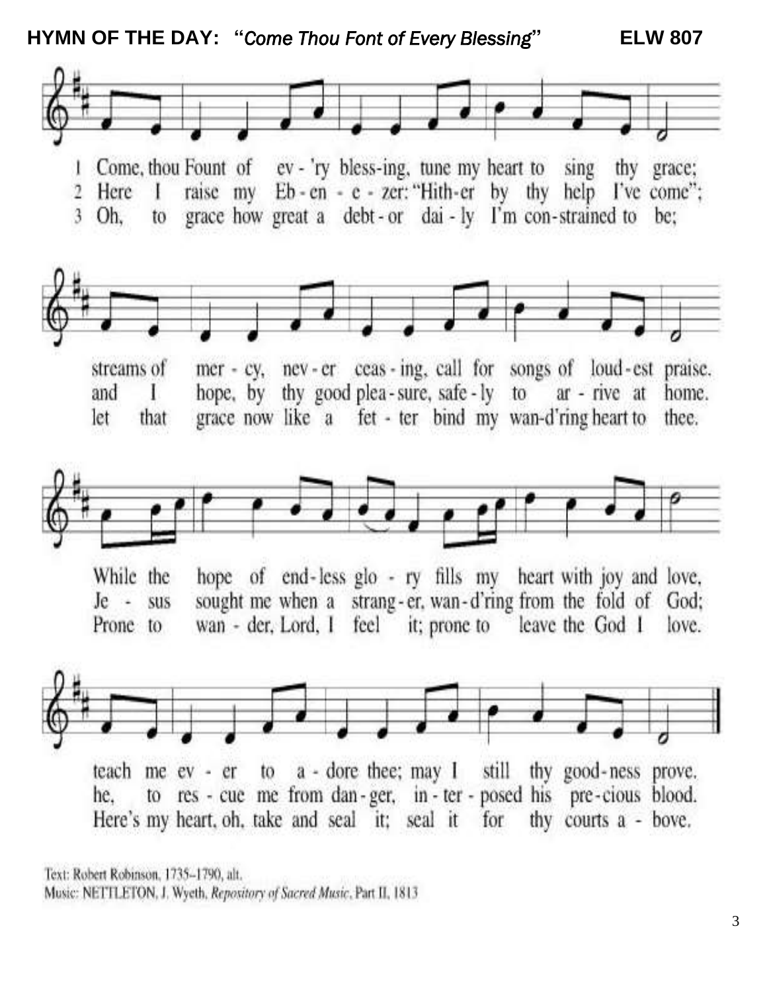**HYMN OF THE DAY: "***Come Thou Font of Every Blessing***" ELW 807**



Text: Robert Robinson, 1735-1790, alt. Music: NETTLETON, J. Wyeth, Repository of Sacred Music, Part II, 1813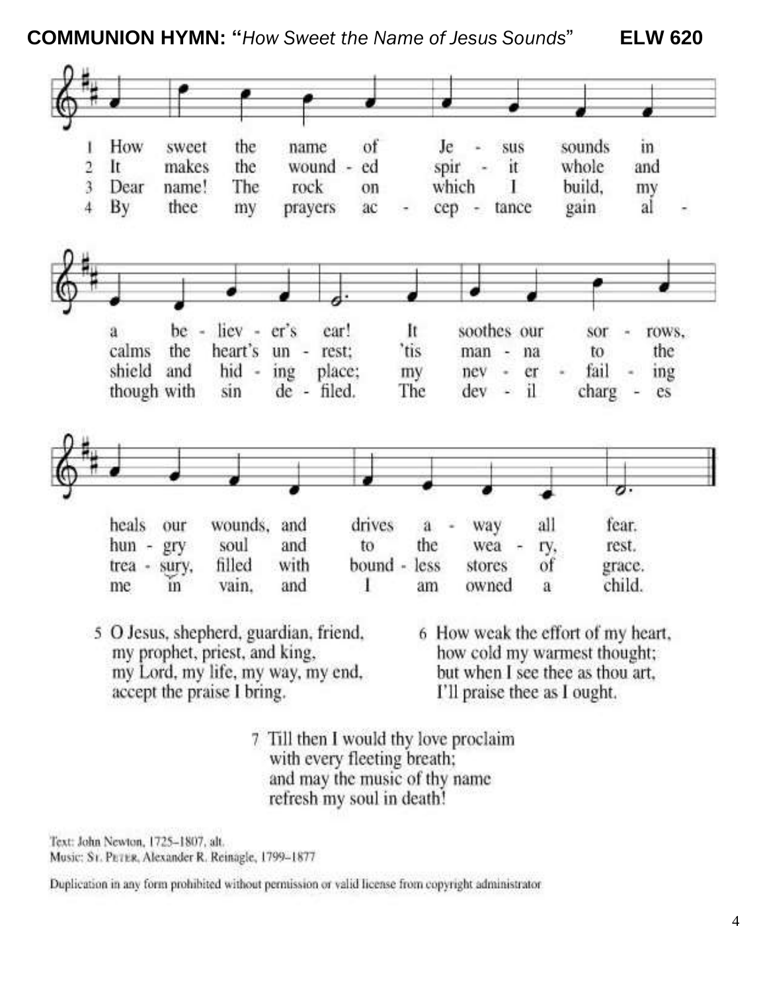**COMMUNION HYMN: "***How Sweet the Name of Jesus Sounds*" **ELW 620**



and may the music of thy name refresh my soul in death!

Text: John Newton, 1725-1807, alt. Music: Sr. PETER, Alexander R. Reinagle, 1799-1877

Duplication in any form prohibited without permission or valid license from copyright administrator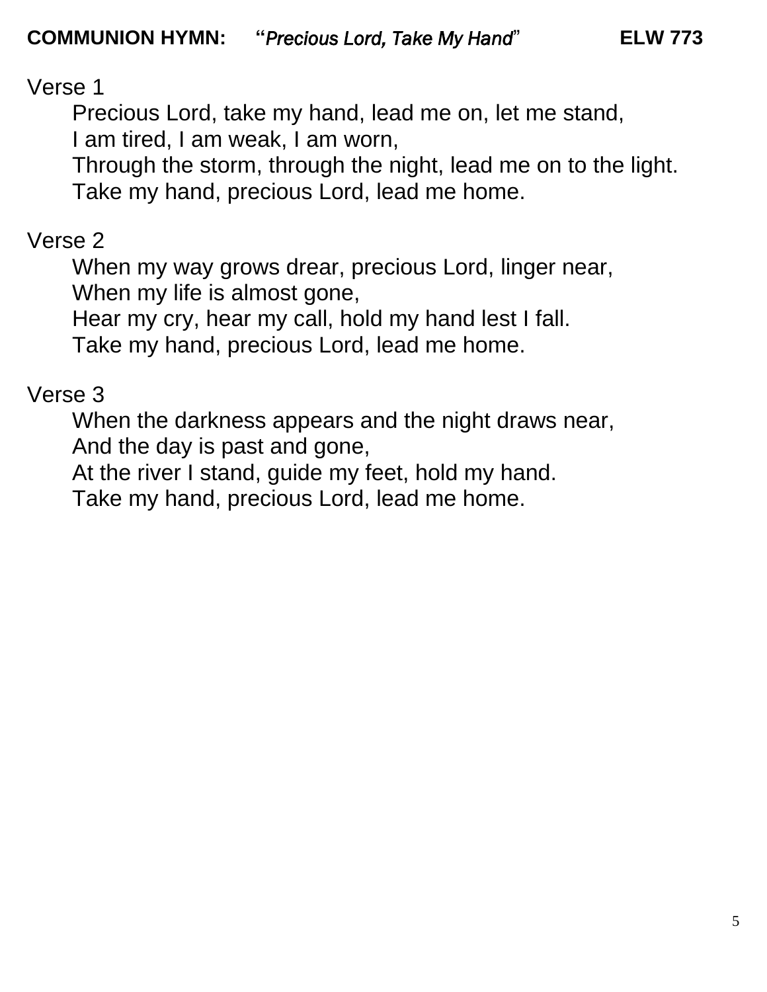Verse 1

Precious Lord, take my hand, lead me on, let me stand, I am tired, I am weak, I am worn,

Through the storm, through the night, lead me on to the light. *Take my hand, precious Lord, lead me home.*

# Verse 2

When my way grows drear, precious Lord, linger near, When my life is almost gone,

Hear my cry, hear my call, hold my hand lest I fall.

*Take my hand, precious Lord, lead me home.*

# Verse 3

When the darkness appears and the night draws near, And the day is past and gone,

At the river I stand, guide my feet, hold my hand.

*Take my hand, precious Lord, lead me home.*